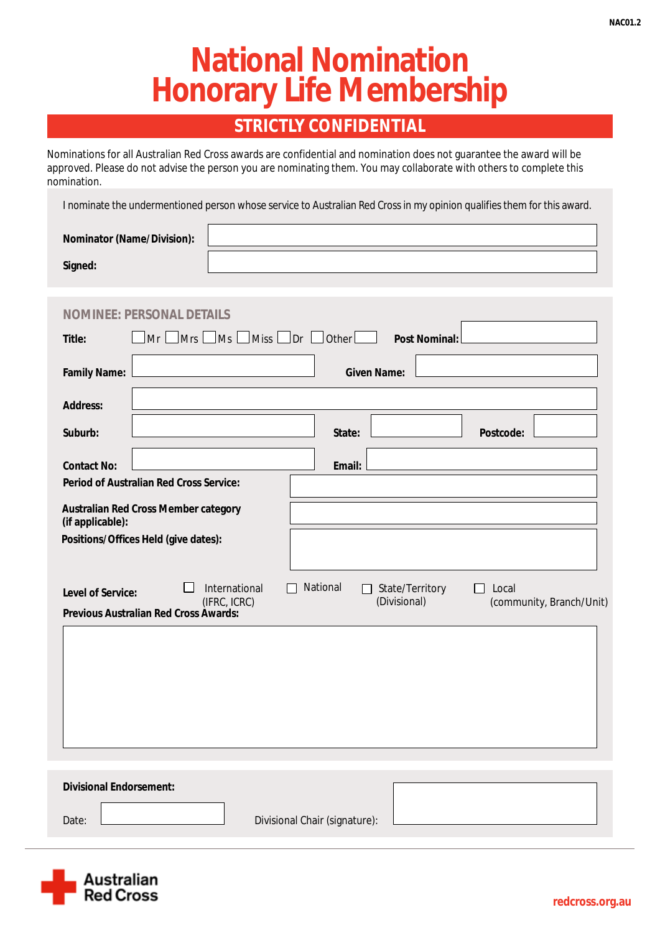# **National Nomination Honorary Life Membership**

### **STRICTLY CONFIDENTIAL**

Nominations for all Australian Red Cross awards are confidential and nomination does not guarantee the award will be approved. Please do not advise the person you are nominating them. You may collaborate with others to complete this nomination.

I nominate the undermentioned person whose service to Australian Red Cross in my opinion qualifies them for this award.

| <b>Nominator (Name/Division):</b> |  |
|-----------------------------------|--|
| Signed:                           |  |

| DENNIS<br><b>PERSO</b><br>NOM<br>INEE                                                                    |                                                                          |  |  |  |
|----------------------------------------------------------------------------------------------------------|--------------------------------------------------------------------------|--|--|--|
| $\vert$ Mrs $\vert$<br>Miss <sup>1</sup><br>Mr<br>$\Box$ Ms<br><b>Title:</b>                             | $\Box$ Dr $\Box$<br>$\sf{l}$ Other $\sf{l}$<br><b>Post Nominal:</b>      |  |  |  |
| <b>Family Name:</b>                                                                                      | <b>Given Name:</b>                                                       |  |  |  |
| <b>Address:</b>                                                                                          |                                                                          |  |  |  |
| Suburb:                                                                                                  | <b>Postcode:</b><br><b>State:</b>                                        |  |  |  |
| <b>Contact No:</b>                                                                                       | <b>Email:</b>                                                            |  |  |  |
| <b>Period of Australian Red Cross Service:</b>                                                           |                                                                          |  |  |  |
| <b>Australian Red Cross Member category</b><br>(if applicable):                                          |                                                                          |  |  |  |
| Positions/Offices Held (give dates):                                                                     |                                                                          |  |  |  |
|                                                                                                          |                                                                          |  |  |  |
| <b>International</b><br><b>Level of Service:</b>                                                         | <b>National</b><br><b>State/Territory</b><br>Local<br>ΙI<br>$\mathbf{L}$ |  |  |  |
| (Divisional)<br>(IFRC, ICRC)<br>(community, Branch/Unit)<br><b>Previous Australian Red Cross Awards:</b> |                                                                          |  |  |  |
|                                                                                                          |                                                                          |  |  |  |
|                                                                                                          |                                                                          |  |  |  |
|                                                                                                          |                                                                          |  |  |  |
|                                                                                                          |                                                                          |  |  |  |
|                                                                                                          |                                                                          |  |  |  |
|                                                                                                          |                                                                          |  |  |  |
|                                                                                                          |                                                                          |  |  |  |
| <b>Divisional Endorsement:</b>                                                                           |                                                                          |  |  |  |
| Date:<br><b>Divisional Chair (signature):</b>                                                            |                                                                          |  |  |  |
|                                                                                                          |                                                                          |  |  |  |

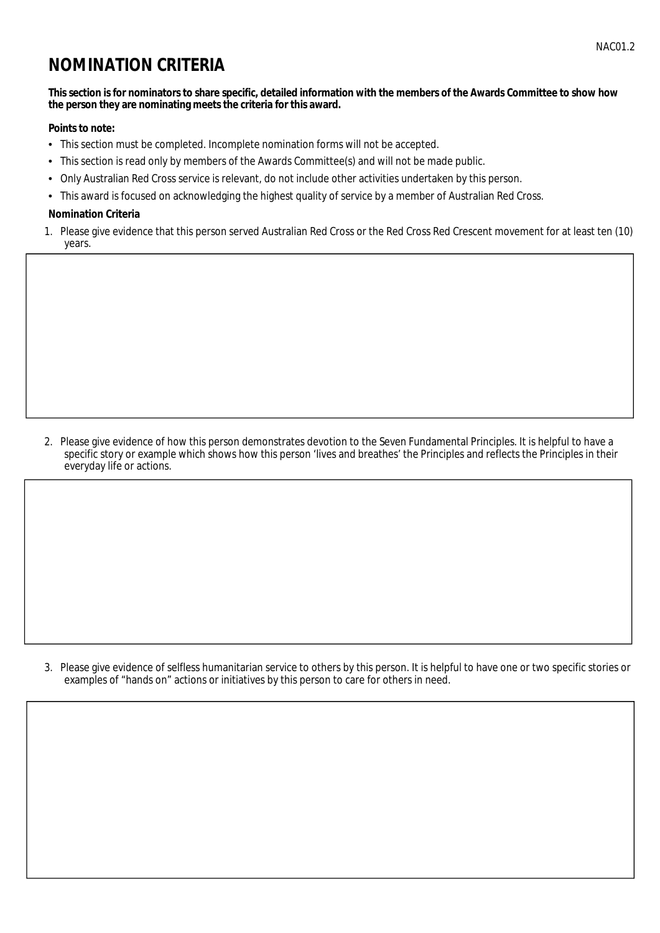## **NOMINATION CRITERIA**

#### This section is for nominators to share specific, detailed information with the members of the Awards Committee to show how the person they are nominating meets the criteria for this award.

#### **Points to note:**

- This section must be completed. Incomplete nomination forms will not be accepted.
- $\bullet$ This section is read only by members of the Awards Committee(s) and will not be made public.
- Only Australian Red Cross service is relevant, do not include other activities undertaken by this person.  $\bullet$
- This award is focused on acknowledging the highest quality of service by a member of Australian Red Cross.

#### **Nomination Criteria**

1. Please give evidence that this person served Australian Red Cross or the Red Cross Red Crescent movement for at least ten (10) years.

2. Please give evidence of how this person demonstrates devotion to the Seven Fundamental Principles. It is helpful to have a specific story or example which shows how this person 'lives and breathes' the Principles and reflects the Principles in their everyday life or actions.

3. Please give evidence of selfless humanitarian service to others by this person. It is helpful to have one or two specific stories or examples of "hands on" actions or initiatives by this person to care for others in need.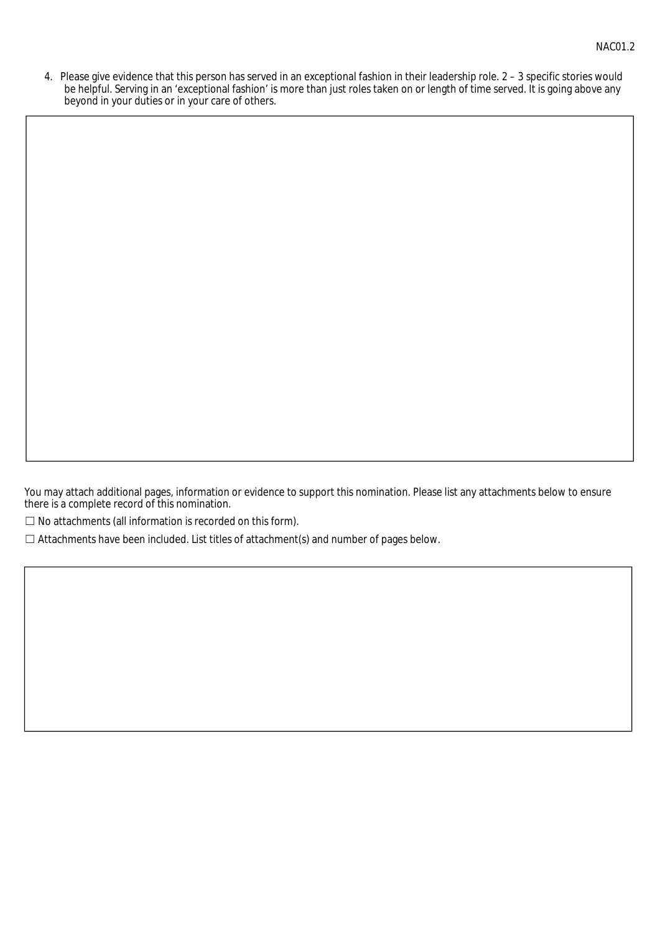4. Please give evidence that this person has served in an exceptional fashion in their leadership role. 2 - 3 specific stories would be helpful. Serving in an 'exceptional fashion' is more than just roles taken on or length of time served. It is going above any beyond in your duties or in your care of others.

You may attach additional pages, information or evidence to support this nomination. Please list any attachments below to ensure there is a complete record of this nomination.

 $\Box$  No attachments (all information is recorded on this form).

 $\Box$  Attachments have been included. List titles of attachment(s) and number of pages below.